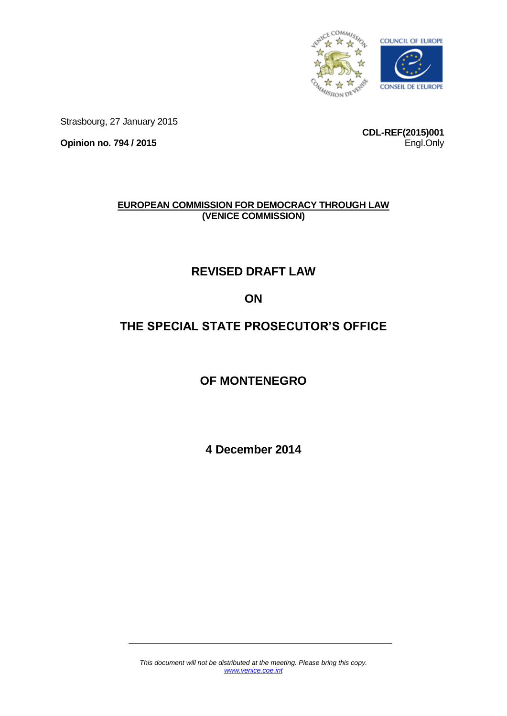

Strasbourg, 27 January 2015

**Opinion no. 794 / 2015**

**CDL-REF(2015)001** Engl.Only

# **EUROPEAN COMMISSION FOR DEMOCRACY THROUGH LAW (VENICE COMMISSION)**

# **REVISED DRAFT LAW**

# **ON**

# **THE SPECIAL STATE PROSECUTOR'S OFFICE**

# **OF MONTENEGRO**

**4 December 2014**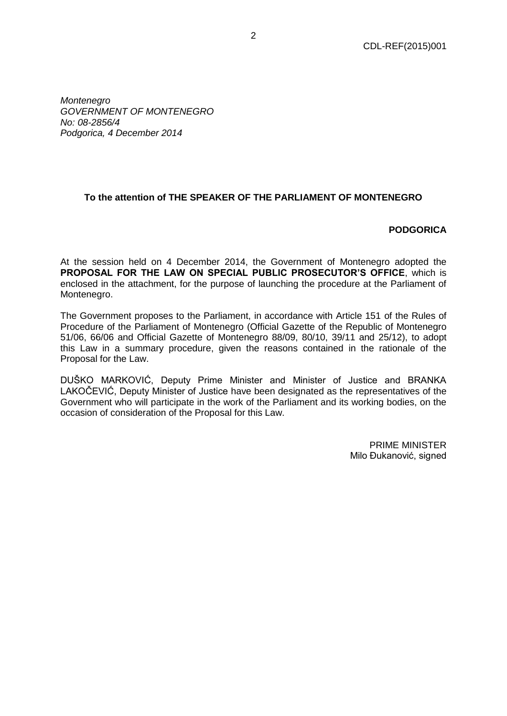*Montenegro GOVERNMENT OF MONTENEGRO No: 08-2856/4 Podgorica, 4 December 2014*

# **To the attention of THE SPEAKER OF THE PARLIAMENT OF MONTENEGRO**

## **PODGORICA**

At the session held on 4 December 2014, the Government of Montenegro adopted the **PROPOSAL FOR THE LAW ON SPECIAL PUBLIC PROSECUTOR'S OFFICE**, which is enclosed in the attachment, for the purpose of launching the procedure at the Parliament of Montenegro.

The Government proposes to the Parliament, in accordance with Article 151 of the Rules of Procedure of the Parliament of Montenegro (Official Gazette of the Republic of Montenegro 51/06, 66/06 and Official Gazette of Montenegro 88/09, 80/10, 39/11 and 25/12), to adopt this Law in a summary procedure, given the reasons contained in the rationale of the Proposal for the Law.

DUŠKO MARKOVIĆ, Deputy Prime Minister and Minister of Justice and BRANKA LAKOČEVIĆ, Deputy Minister of Justice have been designated as the representatives of the Government who will participate in the work of the Parliament and its working bodies, on the occasion of consideration of the Proposal for this Law.

> PRIME MINISTER Milo Đukanović, signed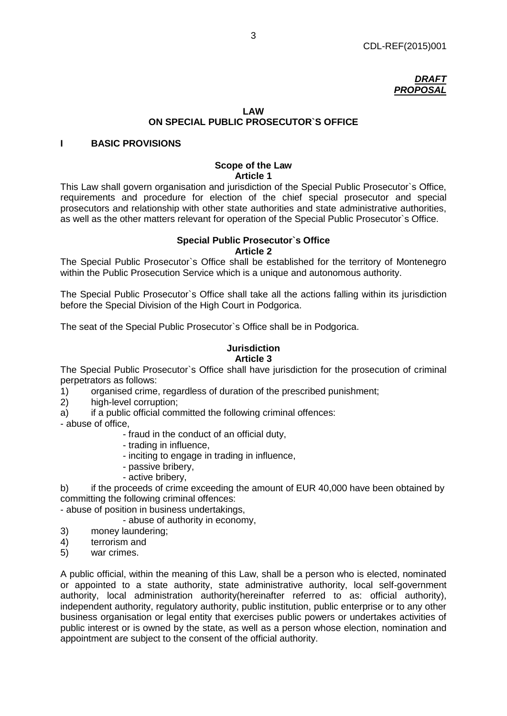

# **LAW ON SPECIAL PUBLIC PROSECUTOR`S OFFICE**

## **I BASIC PROVISIONS**

#### **Scope of the Law Article 1**

This Law shall govern organisation and jurisdiction of the Special Public Prosecutor`s Office, requirements and procedure for election of the chief special prosecutor and special prosecutors and relationship with other state authorities and state administrative authorities, as well as the other matters relevant for operation of the Special Public Prosecutor`s Office.

### **Special Public Prosecutor`s Office Article 2**

The Special Public Prosecutor`s Office shall be established for the territory of Montenegro within the Public Prosecution Service which is a unique and autonomous authority.

The Special Public Prosecutor`s Office shall take all the actions falling within its jurisdiction before the Special Division of the High Court in Podgorica.

The seat of the Special Public Prosecutor`s Office shall be in Podgorica.

#### **Jurisdiction Article 3**

The Special Public Prosecutor`s Office shall have jurisdiction for the prosecution of criminal perpetrators as follows:

1) organised crime, regardless of duration of the prescribed punishment;

- 2) high-level corruption;
- a) if a public official committed the following criminal offences:

- abuse of office,

- fraud in the conduct of an official duty,
- trading in influence,
- inciting to engage in trading in influence,
- passive bribery,
- active bribery,

b) if the proceeds of crime exceeding the amount of EUR 40,000 have been obtained by committing the following criminal offences:

- abuse of position in business undertakings,

- abuse of authority in economy,
- 3) money laundering;
- 4) terrorism and
- 5) war crimes.

A public official, within the meaning of this Law, shall be a person who is elected, nominated or appointed to a state authority, state administrative authority, local self-government authority, local administration authority(hereinafter referred to as: official authority), independent authority, regulatory authority, public institution, public enterprise or to any other business organisation or legal entity that exercises public powers or undertakes activities of public interest or is owned by the state, as well as a person whose election, nomination and appointment are subject to the consent of the official authority.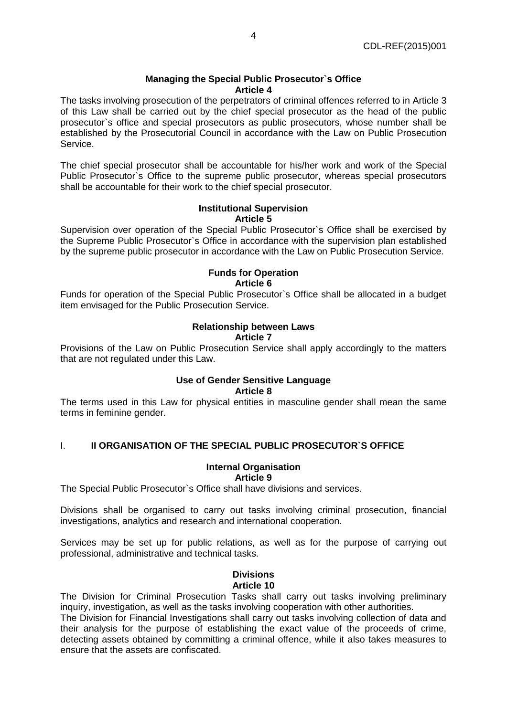### **Managing the Special Public Prosecutor`s Office Article 4**

The tasks involving prosecution of the perpetrators of criminal offences referred to in Article 3 of this Law shall be carried out by the chief special prosecutor as the head of the public prosecutor`s office and special prosecutors as public prosecutors, whose number shall be established by the Prosecutorial Council in accordance with the Law on Public Prosecution Service.

The chief special prosecutor shall be accountable for his/her work and work of the Special Public Prosecutor`s Office to the supreme public prosecutor, whereas special prosecutors shall be accountable for their work to the chief special prosecutor.

#### **Institutional Supervision Article 5**

Supervision over operation of the Special Public Prosecutor`s Office shall be exercised by the Supreme Public Prosecutor`s Office in accordance with the supervision plan established by the supreme public prosecutor in accordance with the Law on Public Prosecution Service.

# **Funds for Operation Article 6**

Funds for operation of the Special Public Prosecutor`s Office shall be allocated in a budget item envisaged for the Public Prosecution Service.

#### **Relationship between Laws Article 7**

Provisions of the Law on Public Prosecution Service shall apply accordingly to the matters that are not regulated under this Law.

#### **Use of Gender Sensitive Language Article 8**

The terms used in this Law for physical entities in masculine gender shall mean the same terms in feminine gender.

# I. **II ORGANISATION OF THE SPECIAL PUBLIC PROSECUTOR`S OFFICE**

# **Internal Organisation**

**Article 9**

The Special Public Prosecutor`s Office shall have divisions and services.

Divisions shall be organised to carry out tasks involving criminal prosecution, financial investigations, analytics and research and international cooperation.

Services may be set up for public relations, as well as for the purpose of carrying out professional, administrative and technical tasks.

#### **Divisions Article 10**

The Division for Criminal Prosecution Tasks shall carry out tasks involving preliminary inquiry, investigation, as well as the tasks involving cooperation with other authorities.

The Division for Financial Investigations shall carry out tasks involving collection of data and their analysis for the purpose of establishing the exact value of the proceeds of crime, detecting assets obtained by committing a criminal offence, while it also takes measures to ensure that the assets are confiscated.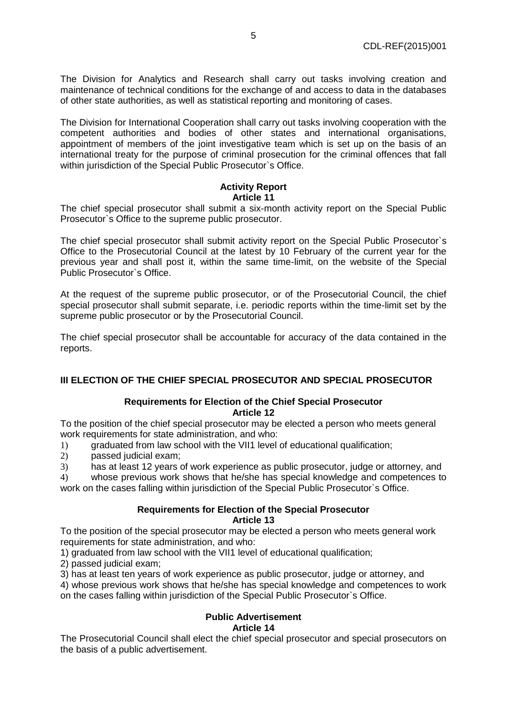The Division for Analytics and Research shall carry out tasks involving creation and maintenance of technical conditions for the exchange of and access to data in the databases of other state authorities, as well as statistical reporting and monitoring of cases.

The Division for International Cooperation shall carry out tasks involving cooperation with the competent authorities and bodies of other states and international organisations, appointment of members of the joint investigative team which is set up on the basis of an international treaty for the purpose of criminal prosecution for the criminal offences that fall within jurisdiction of the Special Public Prosecutor`s Office.

# **Activity Report Article 11**

The chief special prosecutor shall submit a six-month activity report on the Special Public Prosecutor`s Office to the supreme public prosecutor.

The chief special prosecutor shall submit activity report on the Special Public Prosecutor`s Office to the Prosecutorial Council at the latest by 10 February of the current year for the previous year and shall post it, within the same time-limit, on the website of the Special Public Prosecutor`s Office.

At the request of the supreme public prosecutor, or of the Prosecutorial Council, the chief special prosecutor shall submit separate, i.e. periodic reports within the time-limit set by the supreme public prosecutor or by the Prosecutorial Council.

The chief special prosecutor shall be accountable for accuracy of the data contained in the reports.

# **III ELECTION OF THE CHIEF SPECIAL PROSECUTOR AND SPECIAL PROSECUTOR**

## **Requirements for Election of the Chief Special Prosecutor Article 12**

To the position of the chief special prosecutor may be elected a person who meets general work requirements for state administration, and who:

1) graduated from law school with the VII1 level of educational qualification;

2) passed judicial exam;

3) has at least 12 years of work experience as public prosecutor, judge or attorney, and

4) whose previous work shows that he/she has special knowledge and competences to work on the cases falling within jurisdiction of the Special Public Prosecutor`s Office.

## **Requirements for Election of the Special Prosecutor Article 13**

To the position of the special prosecutor may be elected a person who meets general work requirements for state administration, and who:

1) graduated from law school with the VII1 level of educational qualification;

2) passed judicial exam;

3) has at least ten years of work experience as public prosecutor, judge or attorney, and

4) whose previous work shows that he/she has special knowledge and competences to work on the cases falling within jurisdiction of the Special Public Prosecutor`s Office.

#### **Public Advertisement Article 14**

The Prosecutorial Council shall elect the chief special prosecutor and special prosecutors on the basis of a public advertisement.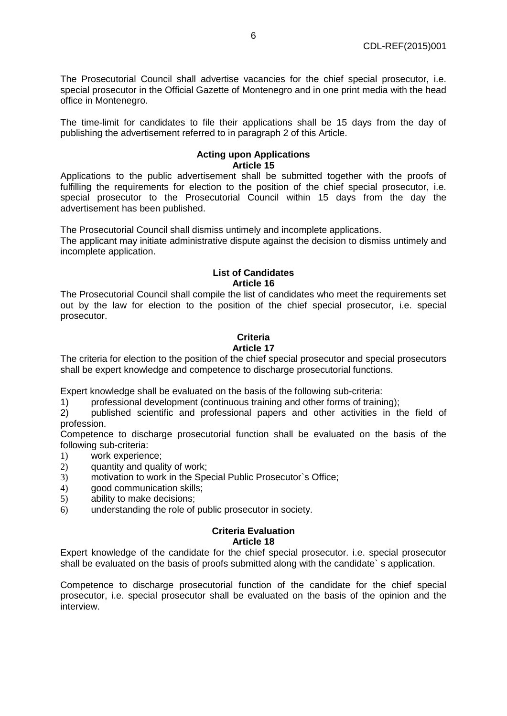The Prosecutorial Council shall advertise vacancies for the chief special prosecutor, i.e. special prosecutor in the Official Gazette of Montenegro and in one print media with the head office in Montenegro.

The time-limit for candidates to file their applications shall be 15 days from the day of publishing the advertisement referred to in paragraph 2 of this Article.

# **Acting upon Applications Article 15**

Applications to the public advertisement shall be submitted together with the proofs of fulfilling the requirements for election to the position of the chief special prosecutor, i.e. special prosecutor to the Prosecutorial Council within 15 days from the day the advertisement has been published.

The Prosecutorial Council shall dismiss untimely and incomplete applications.

The applicant may initiate administrative dispute against the decision to dismiss untimely and incomplete application.

## **List of Candidates Article 16**

The Prosecutorial Council shall compile the list of candidates who meet the requirements set out by the law for election to the position of the chief special prosecutor, i.e. special prosecutor.

# **Criteria**

# **Article 17**

The criteria for election to the position of the chief special prosecutor and special prosecutors shall be expert knowledge and competence to discharge prosecutorial functions.

Expert knowledge shall be evaluated on the basis of the following sub-criteria:

1) professional development (continuous training and other forms of training);

2) published scientific and professional papers and other activities in the field of profession.

Competence to discharge prosecutorial function shall be evaluated on the basis of the following sub-criteria:

- 1) work experience;
- 2) quantity and quality of work;
- 3) motivation to work in the Special Public Prosecutor`s Office;
- 4) good communication skills;
- 5) ability to make decisions;
- 6) understanding the role of public prosecutor in society.

# **Criteria Evaluation**

# **Article 18**

Expert knowledge of the candidate for the chief special prosecutor. i.e. special prosecutor shall be evaluated on the basis of proofs submitted along with the candidate` s application.

Competence to discharge prosecutorial function of the candidate for the chief special prosecutor, i.e. special prosecutor shall be evaluated on the basis of the opinion and the interview.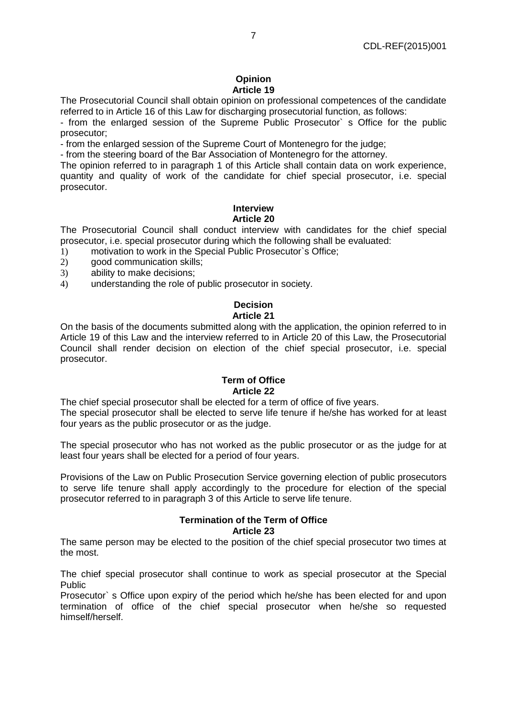#### **Opinion Article 19**

The Prosecutorial Council shall obtain opinion on professional competences of the candidate referred to in Article 16 of this Law for discharging prosecutorial function, as follows:

- from the enlarged session of the Supreme Public Prosecutor` s Office for the public prosecutor;

- from the enlarged session of the Supreme Court of Montenegro for the judge;

- from the steering board of the Bar Association of Montenegro for the attorney.

The opinion referred to in paragraph 1 of this Article shall contain data on work experience, quantity and quality of work of the candidate for chief special prosecutor, i.e. special prosecutor.

#### **Interview Article 20**

The Prosecutorial Council shall conduct interview with candidates for the chief special prosecutor, i.e. special prosecutor during which the following shall be evaluated:

- 1) motivation to work in the Special Public Prosecutor`s Office;
- 2) good communication skills;
- 3) ability to make decisions;
- 4) understanding the role of public prosecutor in society.

# **Decision Article 21**

On the basis of the documents submitted along with the application, the opinion referred to in Article 19 of this Law and the interview referred to in Article 20 of this Law, the Prosecutorial Council shall render decision on election of the chief special prosecutor, i.e. special prosecutor.

#### **Term of Office Article 22**

The chief special prosecutor shall be elected for a term of office of five years. The special prosecutor shall be elected to serve life tenure if he/she has worked for at least four years as the public prosecutor or as the judge.

The special prosecutor who has not worked as the public prosecutor or as the judge for at least four years shall be elected for a period of four years.

Provisions of the Law on Public Prosecution Service governing election of public prosecutors to serve life tenure shall apply accordingly to the procedure for election of the special prosecutor referred to in paragraph 3 of this Article to serve life tenure.

#### **Termination of the Term of Office Article 23**

The same person may be elected to the position of the chief special prosecutor two times at the most.

The chief special prosecutor shall continue to work as special prosecutor at the Special Public

Prosecutor` s Office upon expiry of the period which he/she has been elected for and upon termination of office of the chief special prosecutor when he/she so requested himself/herself.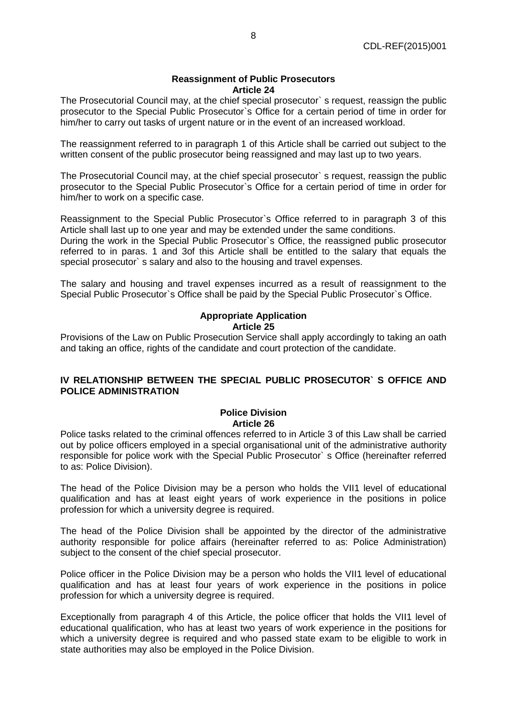#### **Reassignment of Public Prosecutors Article 24**

The Prosecutorial Council may, at the chief special prosecutor` s request, reassign the public prosecutor to the Special Public Prosecutor`s Office for a certain period of time in order for him/her to carry out tasks of urgent nature or in the event of an increased workload.

The reassignment referred to in paragraph 1 of this Article shall be carried out subject to the written consent of the public prosecutor being reassigned and may last up to two years.

The Prosecutorial Council may, at the chief special prosecutor` s request, reassign the public prosecutor to the Special Public Prosecutor`s Office for a certain period of time in order for him/her to work on a specific case.

Reassignment to the Special Public Prosecutor`s Office referred to in paragraph 3 of this Article shall last up to one year and may be extended under the same conditions.

During the work in the Special Public Prosecutor`s Office, the reassigned public prosecutor referred to in paras. 1 and 3of this Article shall be entitled to the salary that equals the special prosecutor` s salary and also to the housing and travel expenses.

The salary and housing and travel expenses incurred as a result of reassignment to the Special Public Prosecutor`s Office shall be paid by the Special Public Prosecutor`s Office.

#### **Appropriate Application Article 25**

Provisions of the Law on Public Prosecution Service shall apply accordingly to taking an oath and taking an office, rights of the candidate and court protection of the candidate.

## **IV RELATIONSHIP BETWEEN THE SPECIAL PUBLIC PROSECUTOR` S OFFICE AND POLICE ADMINISTRATION**

## **Police Division Article 26**

Police tasks related to the criminal offences referred to in Article 3 of this Law shall be carried out by police officers employed in a special organisational unit of the administrative authority responsible for police work with the Special Public Prosecutor` s Office (hereinafter referred to as: Police Division).

The head of the Police Division may be a person who holds the VII1 level of educational qualification and has at least eight years of work experience in the positions in police profession for which a university degree is required.

The head of the Police Division shall be appointed by the director of the administrative authority responsible for police affairs (hereinafter referred to as: Police Administration) subject to the consent of the chief special prosecutor.

Police officer in the Police Division may be a person who holds the VII1 level of educational qualification and has at least four years of work experience in the positions in police profession for which a university degree is required.

Exceptionally from paragraph 4 of this Article, the police officer that holds the VII1 level of educational qualification, who has at least two years of work experience in the positions for which a university degree is required and who passed state exam to be eligible to work in state authorities may also be employed in the Police Division.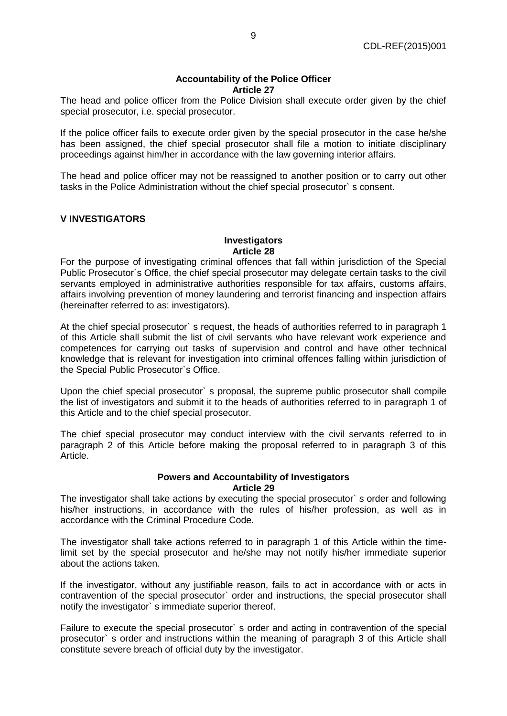#### **Accountability of the Police Officer Article 27**

The head and police officer from the Police Division shall execute order given by the chief special prosecutor, i.e. special prosecutor.

If the police officer fails to execute order given by the special prosecutor in the case he/she has been assigned, the chief special prosecutor shall file a motion to initiate disciplinary proceedings against him/her in accordance with the law governing interior affairs.

The head and police officer may not be reassigned to another position or to carry out other tasks in the Police Administration without the chief special prosecutor` s consent.

# **V INVESTIGATORS**

#### **Investigators Article 28**

For the purpose of investigating criminal offences that fall within jurisdiction of the Special Public Prosecutor`s Office, the chief special prosecutor may delegate certain tasks to the civil servants employed in administrative authorities responsible for tax affairs, customs affairs, affairs involving prevention of money laundering and terrorist financing and inspection affairs (hereinafter referred to as: investigators).

At the chief special prosecutor` s request, the heads of authorities referred to in paragraph 1 of this Article shall submit the list of civil servants who have relevant work experience and competences for carrying out tasks of supervision and control and have other technical knowledge that is relevant for investigation into criminal offences falling within jurisdiction of the Special Public Prosecutor`s Office.

Upon the chief special prosecutor` s proposal, the supreme public prosecutor shall compile the list of investigators and submit it to the heads of authorities referred to in paragraph 1 of this Article and to the chief special prosecutor.

The chief special prosecutor may conduct interview with the civil servants referred to in paragraph 2 of this Article before making the proposal referred to in paragraph 3 of this Article.

#### **Powers and Accountability of Investigators Article 29**

The investigator shall take actions by executing the special prosecutor` s order and following his/her instructions, in accordance with the rules of his/her profession, as well as in accordance with the Criminal Procedure Code.

The investigator shall take actions referred to in paragraph 1 of this Article within the timelimit set by the special prosecutor and he/she may not notify his/her immediate superior about the actions taken.

If the investigator, without any justifiable reason, fails to act in accordance with or acts in contravention of the special prosecutor` order and instructions, the special prosecutor shall notify the investigator` s immediate superior thereof.

Failure to execute the special prosecutor` s order and acting in contravention of the special prosecutor` s order and instructions within the meaning of paragraph 3 of this Article shall constitute severe breach of official duty by the investigator.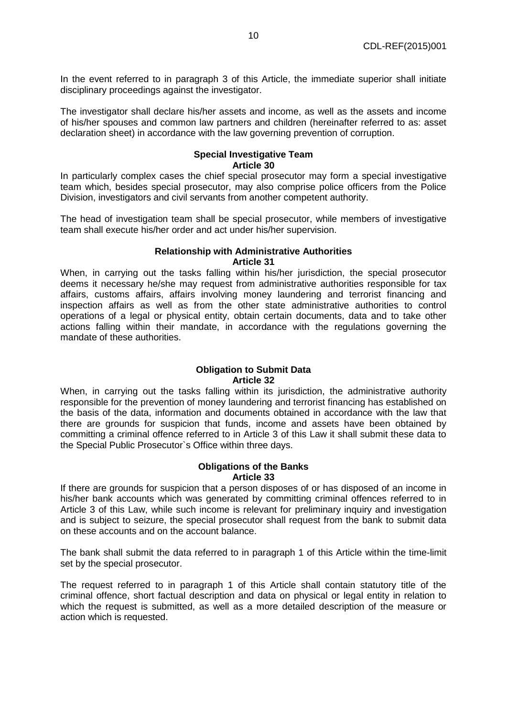In the event referred to in paragraph 3 of this Article, the immediate superior shall initiate disciplinary proceedings against the investigator.

The investigator shall declare his/her assets and income, as well as the assets and income of his/her spouses and common law partners and children (hereinafter referred to as: asset declaration sheet) in accordance with the law governing prevention of corruption.

# **Special Investigative Team Article 30**

In particularly complex cases the chief special prosecutor may form a special investigative team which, besides special prosecutor, may also comprise police officers from the Police Division, investigators and civil servants from another competent authority.

The head of investigation team shall be special prosecutor, while members of investigative team shall execute his/her order and act under his/her supervision.

# **Relationship with Administrative Authorities Article 31**

When, in carrying out the tasks falling within his/her jurisdiction, the special prosecutor deems it necessary he/she may request from administrative authorities responsible for tax affairs, customs affairs, affairs involving money laundering and terrorist financing and inspection affairs as well as from the other state administrative authorities to control operations of a legal or physical entity, obtain certain documents, data and to take other actions falling within their mandate, in accordance with the regulations governing the mandate of these authorities.

#### **Obligation to Submit Data Article 32**

When, in carrying out the tasks falling within its jurisdiction, the administrative authority responsible for the prevention of money laundering and terrorist financing has established on the basis of the data, information and documents obtained in accordance with the law that there are grounds for suspicion that funds, income and assets have been obtained by committing a criminal offence referred to in Article 3 of this Law it shall submit these data to the Special Public Prosecutor`s Office within three days.

#### **Obligations of the Banks Article 33**

If there are grounds for suspicion that a person disposes of or has disposed of an income in his/her bank accounts which was generated by committing criminal offences referred to in Article 3 of this Law, while such income is relevant for preliminary inquiry and investigation and is subject to seizure, the special prosecutor shall request from the bank to submit data on these accounts and on the account balance.

The bank shall submit the data referred to in paragraph 1 of this Article within the time-limit set by the special prosecutor.

The request referred to in paragraph 1 of this Article shall contain statutory title of the criminal offence, short factual description and data on physical or legal entity in relation to which the request is submitted, as well as a more detailed description of the measure or action which is requested.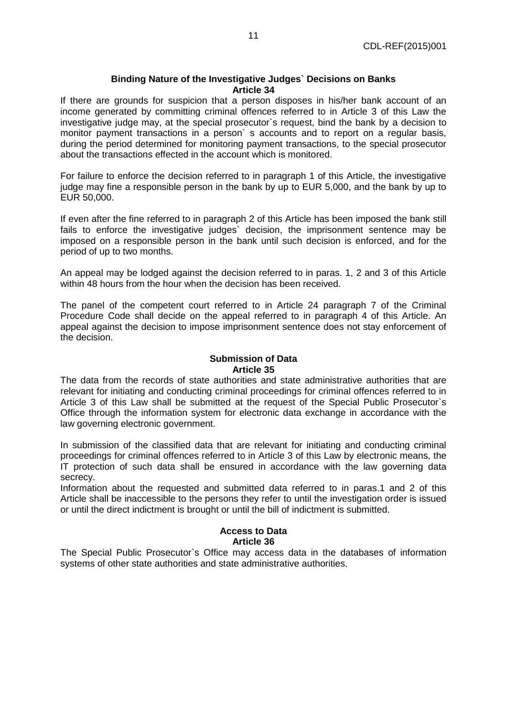#### **Binding Nature of the Investigative Judges` Decisions on Banks Article 34**

If there are grounds for suspicion that a person disposes in his/her bank account of an income generated by committing criminal offences referred to in Article 3 of this Law the investigative judge may, at the special prosecutor`s request, bind the bank by a decision to monitor payment transactions in a person` s accounts and to report on a regular basis, during the period determined for monitoring payment transactions, to the special prosecutor about the transactions effected in the account which is monitored.

For failure to enforce the decision referred to in paragraph 1 of this Article, the investigative judge may fine a responsible person in the bank by up to EUR 5,000, and the bank by up to EUR 50,000.

If even after the fine referred to in paragraph 2 of this Article has been imposed the bank still fails to enforce the investigative judges` decision, the imprisonment sentence may be imposed on a responsible person in the bank until such decision is enforced, and for the period of up to two months.

An appeal may be lodged against the decision referred to in paras. 1, 2 and 3 of this Article within 48 hours from the hour when the decision has been received.

The panel of the competent court referred to in Article 24 paragraph 7 of the Criminal Procedure Code shall decide on the appeal referred to in paragraph 4 of this Article. An appeal against the decision to impose imprisonment sentence does not stay enforcement of the decision.

#### **Submission of Data Article 35**

The data from the records of state authorities and state administrative authorities that are relevant for initiating and conducting criminal proceedings for criminal offences referred to in Article 3 of this Law shall be submitted at the request of the Special Public Prosecutor`s Office through the information system for electronic data exchange in accordance with the law governing electronic government.

In submission of the classified data that are relevant for initiating and conducting criminal proceedings for criminal offences referred to in Article 3 of this Law by electronic means, the IT protection of such data shall be ensured in accordance with the law governing data secrecy.

Information about the requested and submitted data referred to in paras.1 and 2 of this Article shall be inaccessible to the persons they refer to until the investigation order is issued or until the direct indictment is brought or until the bill of indictment is submitted.

## **Access to Data Article 36**

The Special Public Prosecutor`s Office may access data in the databases of information systems of other state authorities and state administrative authorities.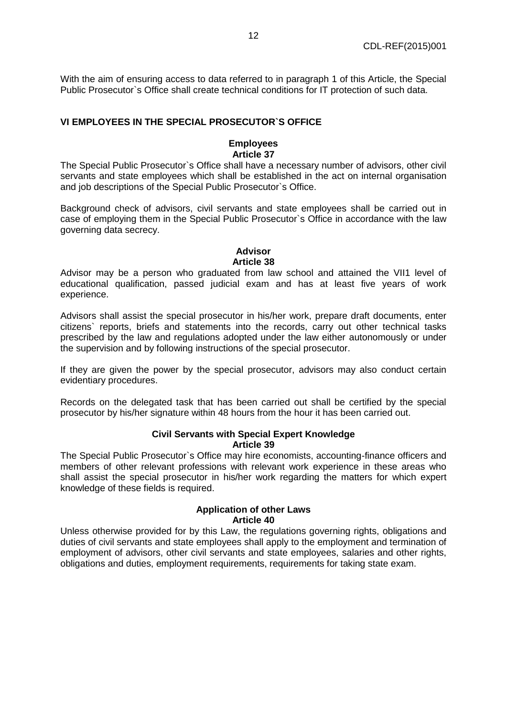With the aim of ensuring access to data referred to in paragraph 1 of this Article, the Special Public Prosecutor`s Office shall create technical conditions for IT protection of such data.

# **VI EMPLOYEES IN THE SPECIAL PROSECUTOR`S OFFICE**

#### **Employees Article 37**

The Special Public Prosecutor`s Office shall have a necessary number of advisors, other civil servants and state employees which shall be established in the act on internal organisation and job descriptions of the Special Public Prosecutor`s Office.

Background check of advisors, civil servants and state employees shall be carried out in case of employing them in the Special Public Prosecutor`s Office in accordance with the law governing data secrecy.

#### **Advisor Article 38**

Advisor may be a person who graduated from law school and attained the VII1 level of educational qualification, passed judicial exam and has at least five years of work experience.

Advisors shall assist the special prosecutor in his/her work, prepare draft documents, enter citizens` reports, briefs and statements into the records, carry out other technical tasks prescribed by the law and regulations adopted under the law either autonomously or under the supervision and by following instructions of the special prosecutor.

If they are given the power by the special prosecutor, advisors may also conduct certain evidentiary procedures.

Records on the delegated task that has been carried out shall be certified by the special prosecutor by his/her signature within 48 hours from the hour it has been carried out.

## **Civil Servants with Special Expert Knowledge Article 39**

The Special Public Prosecutor`s Office may hire economists, accounting-finance officers and members of other relevant professions with relevant work experience in these areas who shall assist the special prosecutor in his/her work regarding the matters for which expert knowledge of these fields is required.

#### **Application of other Laws Article 40**

Unless otherwise provided for by this Law, the regulations governing rights, obligations and duties of civil servants and state employees shall apply to the employment and termination of employment of advisors, other civil servants and state employees, salaries and other rights, obligations and duties, employment requirements, requirements for taking state exam.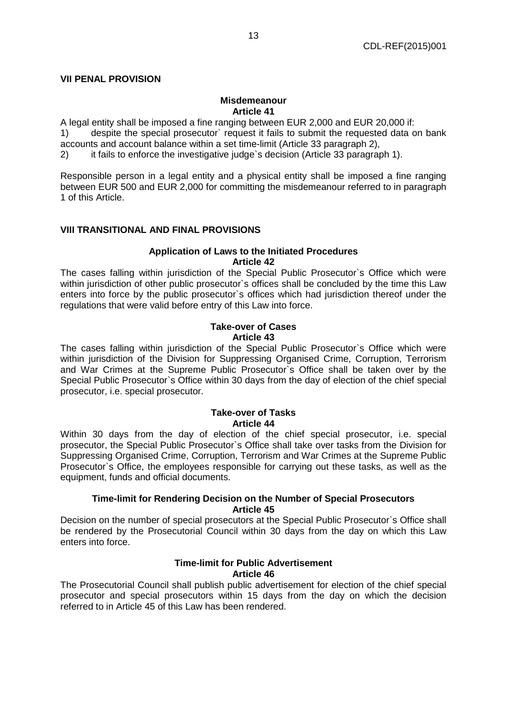### **VII PENAL PROVISION**

#### **Misdemeanour Article 41**

A legal entity shall be imposed a fine ranging between EUR 2,000 and EUR 20,000 if:

1) despite the special prosecutor` request it fails to submit the requested data on bank accounts and account balance within a set time-limit (Article 33 paragraph 2),

2) it fails to enforce the investigative judge`s decision (Article 33 paragraph 1).

Responsible person in a legal entity and a physical entity shall be imposed a fine ranging between EUR 500 and EUR 2,000 for committing the misdemeanour referred to in paragraph 1 of this Article.

## **VIII TRANSITIONAL AND FINAL PROVISIONS**

#### **Application of Laws to the Initiated Procedures Article 42**

The cases falling within jurisdiction of the Special Public Prosecutor`s Office which were within jurisdiction of other public prosecutor's offices shall be concluded by the time this Law enters into force by the public prosecutor`s offices which had jurisdiction thereof under the regulations that were valid before entry of this Law into force.

#### **Take-over of Cases Article 43**

The cases falling within jurisdiction of the Special Public Prosecutor`s Office which were within jurisdiction of the Division for Suppressing Organised Crime, Corruption, Terrorism and War Crimes at the Supreme Public Prosecutor`s Office shall be taken over by the Special Public Prosecutor`s Office within 30 days from the day of election of the chief special prosecutor, i.e. special prosecutor.

## **Take-over of Tasks Article 44**

Within 30 days from the day of election of the chief special prosecutor, i.e. special prosecutor, the Special Public Prosecutor`s Office shall take over tasks from the Division for Suppressing Organised Crime, Corruption, Terrorism and War Crimes at the Supreme Public Prosecutor`s Office, the employees responsible for carrying out these tasks, as well as the equipment, funds and official documents.

#### **Time-limit for Rendering Decision on the Number of Special Prosecutors Article 45**

Decision on the number of special prosecutors at the Special Public Prosecutor`s Office shall be rendered by the Prosecutorial Council within 30 days from the day on which this Law enters into force.

## **Time-limit for Public Advertisement Article 46**

The Prosecutorial Council shall publish public advertisement for election of the chief special prosecutor and special prosecutors within 15 days from the day on which the decision referred to in Article 45 of this Law has been rendered.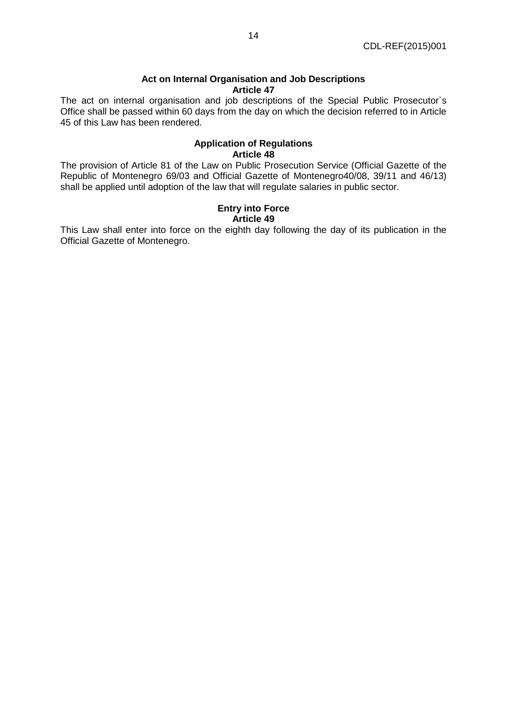## **Act on Internal Organisation and Job Descriptions Article 47**

The act on internal organisation and job descriptions of the Special Public Prosecutor`s Office shall be passed within 60 days from the day on which the decision referred to in Article 45 of this Law has been rendered.

# **Application of Regulations Article 48**

The provision of Article 81 of the Law on Public Prosecution Service (Official Gazette of the Republic of Montenegro 69/03 and Official Gazette of Montenegro40/08, 39/11 and 46/13) shall be applied until adoption of the law that will regulate salaries in public sector.

#### **Entry into Force Article 49**

This Law shall enter into force on the eighth day following the day of its publication in the Official Gazette of Montenegro.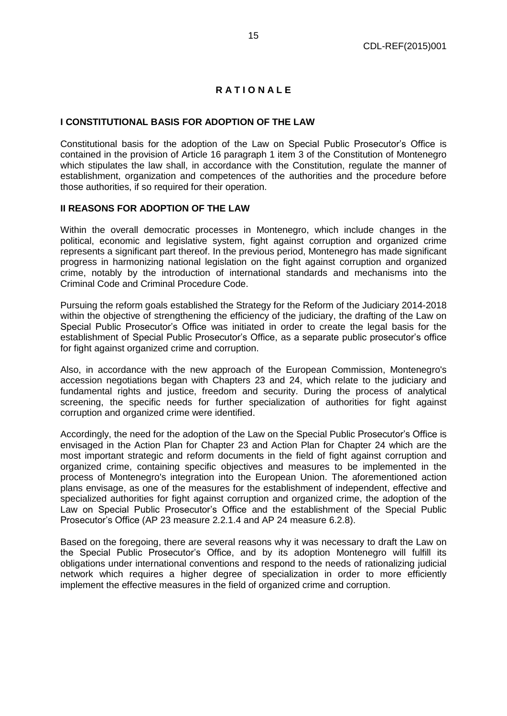# **R A T I O N A L E**

# **I CONSTITUTIONAL BASIS FOR ADOPTION OF THE LAW**

Constitutional basis for the adoption of the Law on Special Public Prosecutor's Office is contained in the provision of Article 16 paragraph 1 item 3 of the Constitution of Montenegro which stipulates the law shall, in accordance with the Constitution, regulate the manner of establishment, organization and competences of the authorities and the procedure before those authorities, if so required for their operation.

#### **II REASONS FOR ADOPTION OF THE LAW**

Within the overall democratic processes in Montenegro, which include changes in the political, economic and legislative system, fight against corruption and organized crime represents a significant part thereof. In the previous period, Montenegro has made significant progress in harmonizing national legislation on the fight against corruption and organized crime, notably by the introduction of international standards and mechanisms into the Criminal Code and Criminal Procedure Code.

Pursuing the reform goals established the Strategy for the Reform of the Judiciary 2014-2018 within the objective of strengthening the efficiency of the judiciary, the drafting of the Law on Special Public Prosecutor's Office was initiated in order to create the legal basis for the establishment of Special Public Prosecutor's Office, as a separate public prosecutor's office for fight against organized crime and corruption.

Also, in accordance with the new approach of the European Commission, Montenegro's accession negotiations began with Chapters 23 and 24, which relate to the judiciary and fundamental rights and justice, freedom and security. During the process of analytical screening, the specific needs for further specialization of authorities for fight against corruption and organized crime were identified.

Accordingly, the need for the adoption of the Law on the Special Public Prosecutor's Office is envisaged in the Action Plan for Chapter 23 and Action Plan for Chapter 24 which are the most important strategic and reform documents in the field of fight against corruption and organized crime, containing specific objectives and measures to be implemented in the process of Montenegro's integration into the European Union. The aforementioned action plans envisage, as one of the measures for the establishment of independent, effective and specialized authorities for fight against corruption and organized crime, the adoption of the Law on Special Public Prosecutor's Office and the establishment of the Special Public Prosecutor's Office (AP 23 measure 2.2.1.4 and AP 24 measure 6.2.8).

Based on the foregoing, there are several reasons why it was necessary to draft the Law on the Special Public Prosecutor's Office, and by its adoption Montenegro will fulfill its obligations under international conventions and respond to the needs of rationalizing judicial network which requires a higher degree of specialization in order to more efficiently implement the effective measures in the field of organized crime and corruption.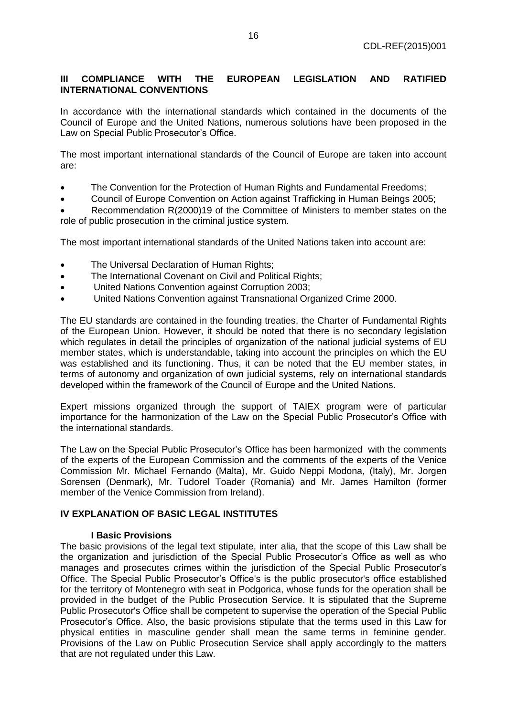# **III COMPLIANCE WITH THE EUROPEAN LEGISLATION AND RATIFIED INTERNATIONAL CONVENTIONS**

In accordance with the international standards which contained in the documents of the Council of Europe and the United Nations, numerous solutions have been proposed in the Law on Special Public Prosecutor's Office.

The most important international standards of the Council of Europe are taken into account are:

- The Convention for the Protection of Human Rights and Fundamental Freedoms;
- Council of Europe Convention on Action against Trafficking in Human Beings 2005;

 Recommendation R(2000)19 of the Committee of Ministers to member states on the role of public prosecution in the criminal justice system.

The most important international standards of the United Nations taken into account are:

- The Universal Declaration of Human Rights;
- The International Covenant on Civil and Political Rights;
- United Nations Convention against Corruption 2003;
- United Nations Convention against Transnational Organized Crime 2000.

The EU standards are contained in the founding treaties, the Charter of Fundamental Rights of the European Union. However, it should be noted that there is no secondary legislation which regulates in detail the principles of organization of the national judicial systems of EU member states, which is understandable, taking into account the principles on which the EU was established and its functioning. Thus, it can be noted that the EU member states, in terms of autonomy and organization of own judicial systems, rely on international standards developed within the framework of the Council of Europe and the United Nations.

Expert missions organized through the support of TAIEX program were of particular importance for the harmonization of the Law on the Special Public Prosecutor's Office with the international standards.

The Law on the Special Public Prosecutor's Office has been harmonized with the comments of the experts of the European Commission and the comments of the experts of the Venice Commission Mr. Michael Fernando (Malta), Mr. Guido Neppi Modona, (Italy), Mr. Jorgen Sorensen (Denmark), Mr. Tudorel Toader (Romania) and Mr. James Hamilton (former member of the Venice Commission from Ireland).

#### **IV EXPLANATION OF BASIC LEGAL INSTITUTES**

#### **I Basic Provisions**

The basic provisions of the legal text stipulate, inter alia, that the scope of this Law shall be the organization and jurisdiction of the Special Public Prosecutor's Office as well as who manages and prosecutes crimes within the jurisdiction of the Special Public Prosecutor's Office. The Special Public Prosecutor's Office's is the public prosecutor's office established for the territory of Montenegro with seat in Podgorica, whose funds for the operation shall be provided in the budget of the Public Prosecution Service. It is stipulated that the Supreme Public Prosecutor's Office shall be competent to supervise the operation of the Special Public Prosecutor's Office. Also, the basic provisions stipulate that the terms used in this Law for physical entities in masculine gender shall mean the same terms in feminine gender. Provisions of the Law on Public Prosecution Service shall apply accordingly to the matters that are not regulated under this Law.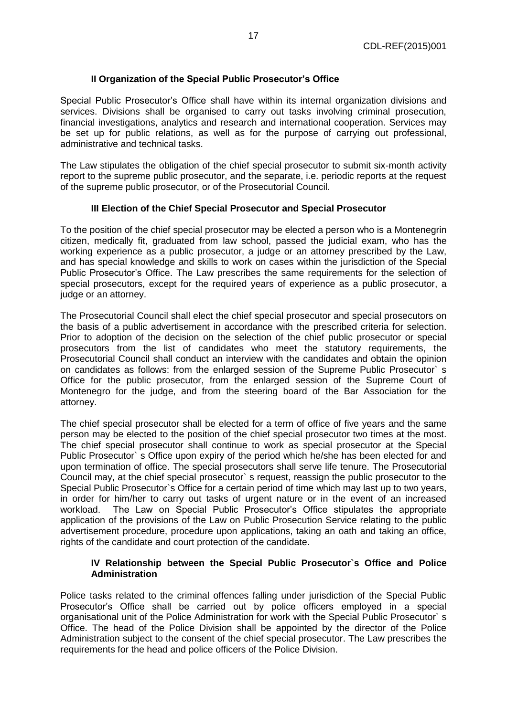# **II Organization of the Special Public Prosecutor's Office**

Special Public Prosecutor's Office shall have within its internal organization divisions and services. Divisions shall be organised to carry out tasks involving criminal prosecution, financial investigations, analytics and research and international cooperation. Services may be set up for public relations, as well as for the purpose of carrying out professional, administrative and technical tasks.

The Law stipulates the obligation of the chief special prosecutor to submit six-month activity report to the supreme public prosecutor, and the separate, i.e. periodic reports at the request of the supreme public prosecutor, or of the Prosecutorial Council.

#### **III Election of the Chief Special Prosecutor and Special Prosecutor**

To the position of the chief special prosecutor may be elected a person who is a Montenegrin citizen, medically fit, graduated from law school, passed the judicial exam, who has the working experience as a public prosecutor, a judge or an attorney prescribed by the Law, and has special knowledge and skills to work on cases within the jurisdiction of the Special Public Prosecutor's Office. The Law prescribes the same requirements for the selection of special prosecutors, except for the required years of experience as a public prosecutor, a judge or an attorney.

The Prosecutorial Council shall elect the chief special prosecutor and special prosecutors on the basis of a public advertisement in accordance with the prescribed criteria for selection. Prior to adoption of the decision on the selection of the chief public prosecutor or special prosecutors from the list of candidates who meet the statutory requirements, the Prosecutorial Council shall conduct an interview with the candidates and obtain the opinion on candidates as follows: from the enlarged session of the Supreme Public Prosecutor` s Office for the public prosecutor, from the enlarged session of the Supreme Court of Montenegro for the judge, and from the steering board of the Bar Association for the attorney.

The chief special prosecutor shall be elected for a term of office of five years and the same person may be elected to the position of the chief special prosecutor two times at the most. The chief special prosecutor shall continue to work as special prosecutor at the Special Public Prosecutor` s Office upon expiry of the period which he/she has been elected for and upon termination of office. The special prosecutors shall serve life tenure. The Prosecutorial Council may, at the chief special prosecutor` s request, reassign the public prosecutor to the Special Public Prosecutor`s Office for a certain period of time which may last up to two years, in order for him/her to carry out tasks of urgent nature or in the event of an increased workload. The Law on Special Public Prosecutor's Office stipulates the appropriate application of the provisions of the Law on Public Prosecution Service relating to the public advertisement procedure, procedure upon applications, taking an oath and taking an office, rights of the candidate and court protection of the candidate.

## **IV Relationship between the Special Public Prosecutor`s Office and Police Administration**

Police tasks related to the criminal offences falling under jurisdiction of the Special Public Prosecutor's Office shall be carried out by police officers employed in a special organisational unit of the Police Administration for work with the Special Public Prosecutor` s Office. The head of the Police Division shall be appointed by the director of the Police Administration subject to the consent of the chief special prosecutor. The Law prescribes the requirements for the head and police officers of the Police Division.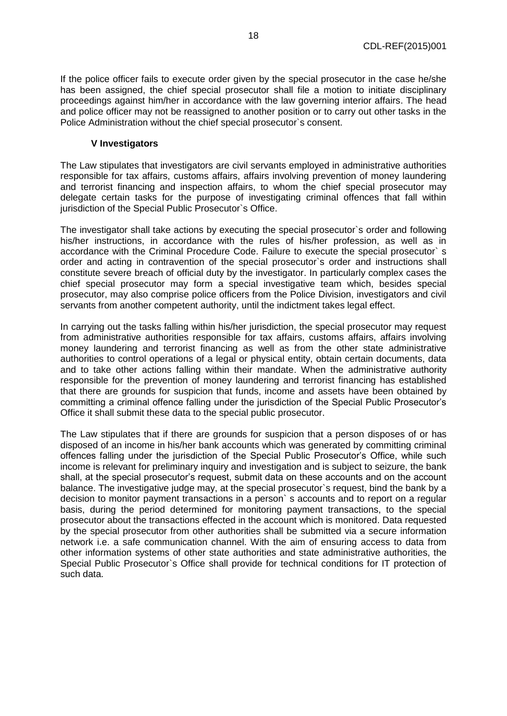If the police officer fails to execute order given by the special prosecutor in the case he/she has been assigned, the chief special prosecutor shall file a motion to initiate disciplinary proceedings against him/her in accordance with the law governing interior affairs. The head and police officer may not be reassigned to another position or to carry out other tasks in the Police Administration without the chief special prosecutor`s consent.

## **V Investigators**

The Law stipulates that investigators are civil servants employed in administrative authorities responsible for tax affairs, customs affairs, affairs involving prevention of money laundering and terrorist financing and inspection affairs, to whom the chief special prosecutor may delegate certain tasks for the purpose of investigating criminal offences that fall within jurisdiction of the Special Public Prosecutor's Office.

The investigator shall take actions by executing the special prosecutor`s order and following his/her instructions, in accordance with the rules of his/her profession, as well as in accordance with the Criminal Procedure Code. Failure to execute the special prosecutor` s order and acting in contravention of the special prosecutor`s order and instructions shall constitute severe breach of official duty by the investigator. In particularly complex cases the chief special prosecutor may form a special investigative team which, besides special prosecutor, may also comprise police officers from the Police Division, investigators and civil servants from another competent authority, until the indictment takes legal effect.

In carrying out the tasks falling within his/her jurisdiction, the special prosecutor may request from administrative authorities responsible for tax affairs, customs affairs, affairs involving money laundering and terrorist financing as well as from the other state administrative authorities to control operations of a legal or physical entity, obtain certain documents, data and to take other actions falling within their mandate. When the administrative authority responsible for the prevention of money laundering and terrorist financing has established that there are grounds for suspicion that funds, income and assets have been obtained by committing a criminal offence falling under the jurisdiction of the Special Public Prosecutor's Office it shall submit these data to the special public prosecutor.

The Law stipulates that if there are grounds for suspicion that a person disposes of or has disposed of an income in his/her bank accounts which was generated by committing criminal offences falling under the jurisdiction of the Special Public Prosecutor's Office, while such income is relevant for preliminary inquiry and investigation and is subject to seizure, the bank shall, at the special prosecutor's request, submit data on these accounts and on the account balance. The investigative judge may, at the special prosecutor's request, bind the bank by a decision to monitor payment transactions in a person` s accounts and to report on a regular basis, during the period determined for monitoring payment transactions, to the special prosecutor about the transactions effected in the account which is monitored. Data requested by the special prosecutor from other authorities shall be submitted via a secure information network i.e. a safe communication channel. With the aim of ensuring access to data from other information systems of other state authorities and state administrative authorities, the Special Public Prosecutor`s Office shall provide for technical conditions for IT protection of such data.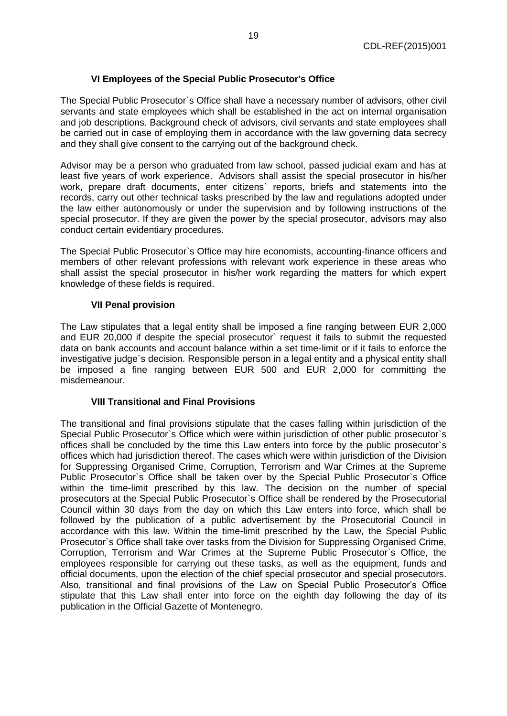# **VI Employees of the Special Public Prosecutor's Office**

The Special Public Prosecutor`s Office shall have a necessary number of advisors, other civil servants and state employees which shall be established in the act on internal organisation and job descriptions. Background check of advisors, civil servants and state employees shall be carried out in case of employing them in accordance with the law governing data secrecy and they shall give consent to the carrying out of the background check.

Advisor may be a person who graduated from law school, passed judicial exam and has at least five years of work experience. Advisors shall assist the special prosecutor in his/her work, prepare draft documents, enter citizens` reports, briefs and statements into the records, carry out other technical tasks prescribed by the law and regulations adopted under the law either autonomously or under the supervision and by following instructions of the special prosecutor. If they are given the power by the special prosecutor, advisors may also conduct certain evidentiary procedures.

The Special Public Prosecutor`s Office may hire economists, accounting-finance officers and members of other relevant professions with relevant work experience in these areas who shall assist the special prosecutor in his/her work regarding the matters for which expert knowledge of these fields is required.

#### **VII Penal provision**

The Law stipulates that a legal entity shall be imposed a fine ranging between EUR 2,000 and EUR 20,000 if despite the special prosecutor` request it fails to submit the requested data on bank accounts and account balance within a set time-limit or if it fails to enforce the investigative judge`s decision. Responsible person in a legal entity and a physical entity shall be imposed a fine ranging between EUR 500 and EUR 2,000 for committing the misdemeanour.

#### **VIII Transitional and Final Provisions**

The transitional and final provisions stipulate that the cases falling within jurisdiction of the Special Public Prosecutor`s Office which were within jurisdiction of other public prosecutor`s offices shall be concluded by the time this Law enters into force by the public prosecutor`s offices which had jurisdiction thereof. The cases which were within jurisdiction of the Division for Suppressing Organised Crime, Corruption, Terrorism and War Crimes at the Supreme Public Prosecutor`s Office shall be taken over by the Special Public Prosecutor`s Office within the time-limit prescribed by this law. The decision on the number of special prosecutors at the Special Public Prosecutor`s Office shall be rendered by the Prosecutorial Council within 30 days from the day on which this Law enters into force, which shall be followed by the publication of a public advertisement by the Prosecutorial Council in accordance with this law. Within the time-limit prescribed by the Law, the Special Public Prosecutor`s Office shall take over tasks from the Division for Suppressing Organised Crime, Corruption, Terrorism and War Crimes at the Supreme Public Prosecutor`s Office, the employees responsible for carrying out these tasks, as well as the equipment, funds and official documents, upon the election of the chief special prosecutor and special prosecutors. Also, transitional and final provisions of the Law on Special Public Prosecutor's Office stipulate that this Law shall enter into force on the eighth day following the day of its publication in the Official Gazette of Montenegro.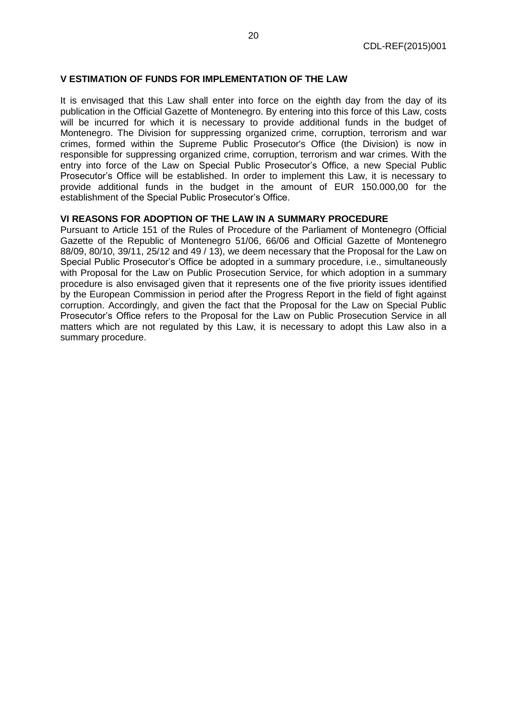## **V ESTIMATION OF FUNDS FOR IMPLEMENTATION OF THE LAW**

It is envisaged that this Law shall enter into force on the eighth day from the day of its publication in the Official Gazette of Montenegro. By entering into this force of this Law, costs will be incurred for which it is necessary to provide additional funds in the budget of Montenegro. The Division for suppressing organized crime, corruption, terrorism and war crimes, formed within the Supreme Public Prosecutor's Office (the Division) is now in responsible for suppressing organized crime, corruption, terrorism and war crimes. With the entry into force of the Law on Special Public Prosecutor's Office, a new Special Public Prosecutor's Office will be established. In order to implement this Law, it is necessary to provide additional funds in the budget in the amount of EUR 150.000,00 for the establishment of the Special Public Prosecutor's Office.

# **VI REASONS FOR ADOPTION OF THE LAW IN A SUMMARY PROCEDURE**

Pursuant to Article 151 of the Rules of Procedure of the Parliament of Montenegro (Official Gazette of the Republic of Montenegro 51/06, 66/06 and Official Gazette of Montenegro 88/09, 80/10, 39/11, 25/12 and 49 / 13), we deem necessary that the Proposal for the Law on Special Public Prosecutor's Office be adopted in a summary procedure, i.e., simultaneously with Proposal for the Law on Public Prosecution Service, for which adoption in a summary procedure is also envisaged given that it represents one of the five priority issues identified by the European Commission in period after the Progress Report in the field of fight against corruption. Accordingly, and given the fact that the Proposal for the Law on Special Public Prosecutor's Office refers to the Proposal for the Law on Public Prosecution Service in all matters which are not regulated by this Law, it is necessary to adopt this Law also in a summary procedure.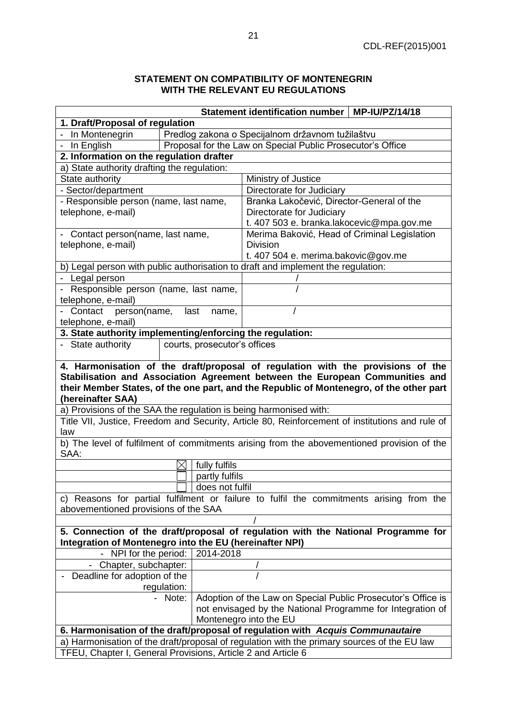# **STATEMENT ON COMPATIBILITY OF MONTENEGRIN WITH THE RELEVANT EU REGULATIONS**

| Statement identification number   MP-IU/PZ/14/18                                                                                                                                                                                                                                |          |                                                            |                                                                                             |  |  |  |  |  |  |
|---------------------------------------------------------------------------------------------------------------------------------------------------------------------------------------------------------------------------------------------------------------------------------|----------|------------------------------------------------------------|---------------------------------------------------------------------------------------------|--|--|--|--|--|--|
| 1. Draft/Proposal of regulation                                                                                                                                                                                                                                                 |          |                                                            |                                                                                             |  |  |  |  |  |  |
| - In Montenegrin                                                                                                                                                                                                                                                                |          | Predlog zakona o Specijalnom državnom tužilaštvu           |                                                                                             |  |  |  |  |  |  |
| In English                                                                                                                                                                                                                                                                      |          | Proposal for the Law on Special Public Prosecutor's Office |                                                                                             |  |  |  |  |  |  |
| 2. Information on the regulation drafter                                                                                                                                                                                                                                        |          |                                                            |                                                                                             |  |  |  |  |  |  |
| a) State authority drafting the regulation:                                                                                                                                                                                                                                     |          |                                                            |                                                                                             |  |  |  |  |  |  |
| State authority                                                                                                                                                                                                                                                                 |          |                                                            | Ministry of Justice                                                                         |  |  |  |  |  |  |
| - Sector/department                                                                                                                                                                                                                                                             |          |                                                            | Directorate for Judiciary                                                                   |  |  |  |  |  |  |
| - Responsible person (name, last name,                                                                                                                                                                                                                                          |          |                                                            | Branka Lakočević, Director-General of the                                                   |  |  |  |  |  |  |
| telephone, e-mail)                                                                                                                                                                                                                                                              |          |                                                            | Directorate for Judiciary                                                                   |  |  |  |  |  |  |
|                                                                                                                                                                                                                                                                                 |          |                                                            | t. 407 503 e. branka.lakocevic@mpa.gov.me                                                   |  |  |  |  |  |  |
| - Contact person(name, last name,                                                                                                                                                                                                                                               |          |                                                            | Merima Baković, Head of Criminal Legislation                                                |  |  |  |  |  |  |
| telephone, e-mail)                                                                                                                                                                                                                                                              |          |                                                            | <b>Division</b>                                                                             |  |  |  |  |  |  |
|                                                                                                                                                                                                                                                                                 |          |                                                            | t. 407 504 e. merima.bakovic@gov.me                                                         |  |  |  |  |  |  |
| b) Legal person with public authorisation to draft and implement the regulation:                                                                                                                                                                                                |          |                                                            |                                                                                             |  |  |  |  |  |  |
| - Legal person                                                                                                                                                                                                                                                                  |          |                                                            |                                                                                             |  |  |  |  |  |  |
| - Responsible person (name, last name,                                                                                                                                                                                                                                          |          |                                                            |                                                                                             |  |  |  |  |  |  |
| telephone, e-mail)                                                                                                                                                                                                                                                              |          |                                                            |                                                                                             |  |  |  |  |  |  |
| Contact<br>person(name,                                                                                                                                                                                                                                                         |          | last<br>name,                                              |                                                                                             |  |  |  |  |  |  |
| telephone, e-mail)                                                                                                                                                                                                                                                              |          |                                                            |                                                                                             |  |  |  |  |  |  |
| 3. State authority implementing/enforcing the regulation:                                                                                                                                                                                                                       |          |                                                            |                                                                                             |  |  |  |  |  |  |
| - State authority                                                                                                                                                                                                                                                               |          | courts, prosecutor's offices                               |                                                                                             |  |  |  |  |  |  |
| 4. Harmonisation of the draft/proposal of regulation with the provisions of the<br>Stabilisation and Association Agreement between the European Communities and<br>their Member States, of the one part, and the Republic of Montenegro, of the other part<br>(hereinafter SAA) |          |                                                            |                                                                                             |  |  |  |  |  |  |
| a) Provisions of the SAA the regulation is being harmonised with:                                                                                                                                                                                                               |          |                                                            |                                                                                             |  |  |  |  |  |  |
| Title VII, Justice, Freedom and Security, Article 80, Reinforcement of institutions and rule of<br>law                                                                                                                                                                          |          |                                                            |                                                                                             |  |  |  |  |  |  |
| SAA:                                                                                                                                                                                                                                                                            |          |                                                            | b) The level of fulfilment of commitments arising from the abovementioned provision of the  |  |  |  |  |  |  |
|                                                                                                                                                                                                                                                                                 | $\times$ | fully fulfils                                              |                                                                                             |  |  |  |  |  |  |
|                                                                                                                                                                                                                                                                                 |          | partly fulfils                                             |                                                                                             |  |  |  |  |  |  |
|                                                                                                                                                                                                                                                                                 |          | does not fulfil                                            |                                                                                             |  |  |  |  |  |  |
| c) Reasons for partial fulfilment or failure to fulfil the commitments arising from the                                                                                                                                                                                         |          |                                                            |                                                                                             |  |  |  |  |  |  |
| abovementioned provisions of the SAA                                                                                                                                                                                                                                            |          |                                                            |                                                                                             |  |  |  |  |  |  |
|                                                                                                                                                                                                                                                                                 |          |                                                            |                                                                                             |  |  |  |  |  |  |
| 5. Connection of the draft/proposal of regulation with the National Programme for<br>Integration of Montenegro into the EU (hereinafter NPI)                                                                                                                                    |          |                                                            |                                                                                             |  |  |  |  |  |  |
| NPI for the period:<br>2014-2018                                                                                                                                                                                                                                                |          |                                                            |                                                                                             |  |  |  |  |  |  |
| Chapter, subchapter:                                                                                                                                                                                                                                                            |          |                                                            |                                                                                             |  |  |  |  |  |  |
| Deadline for adoption of the                                                                                                                                                                                                                                                    |          |                                                            |                                                                                             |  |  |  |  |  |  |
| regulation:                                                                                                                                                                                                                                                                     |          |                                                            |                                                                                             |  |  |  |  |  |  |
| Adoption of the Law on Special Public Prosecutor's Office is<br>- Note:                                                                                                                                                                                                         |          |                                                            |                                                                                             |  |  |  |  |  |  |
| not envisaged by the National Programme for Integration of<br>Montenegro into the EU                                                                                                                                                                                            |          |                                                            |                                                                                             |  |  |  |  |  |  |
|                                                                                                                                                                                                                                                                                 |          |                                                            | 6. Harmonisation of the draft/proposal of regulation with Acquis Communautaire              |  |  |  |  |  |  |
|                                                                                                                                                                                                                                                                                 |          |                                                            | a) Harmonisation of the draft/proposal of regulation with the primary sources of the EU law |  |  |  |  |  |  |
|                                                                                                                                                                                                                                                                                 |          |                                                            |                                                                                             |  |  |  |  |  |  |
| TFEU, Chapter I, General Provisions, Article 2 and Article 6                                                                                                                                                                                                                    |          |                                                            |                                                                                             |  |  |  |  |  |  |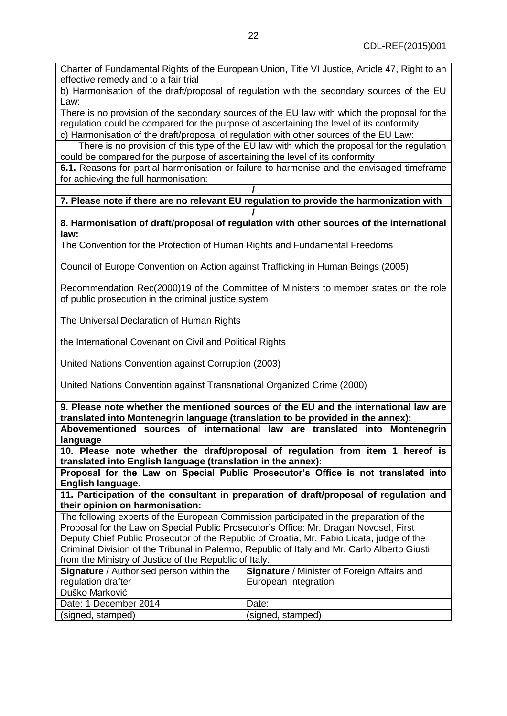Charter of Fundamental Rights of the European Union, Title VI Justice, Article 47, Right to an effective remedy and to a fair trial

b) Harmonisation of the draft/proposal of regulation with the secondary sources of the EU Law:

There is no provision of the secondary sources of the EU law with which the proposal for the regulation could be compared for the purpose of ascertaining the level of its conformity c) Harmonisation of the draft/proposal of regulation with other sources of the EU Law:

There is no provision of this type of the EU law with which the proposal for the regulation could be compared for the purpose of ascertaining the level of its conformity

**6.1.** Reasons for partial harmonisation or failure to harmonise and the envisaged timeframe for achieving the full harmonisation:

**/ 7. Please note if there are no relevant EU regulation to provide the harmonization with /**

**8. Harmonisation of draft/proposal of regulation with other sources of the international law:**

The Convention for the Protection of Human Rights and Fundamental Freedoms

Council of Europe Convention on Action against Trafficking in Human Beings (2005)

Recommendation Rec(2000)19 of the Committee of Ministers to member states on the role of public prosecution in the criminal justice system

The Universal Declaration of Human Rights

the International Covenant on Civil and Political Rights

United Nations Convention against Corruption (2003)

United Nations Convention against Transnational Organized Crime (2000)

**9. Please note whether the mentioned sources of the EU and the international law are translated into Montenegrin language (translation to be provided in the annex):** 

**Abovementioned sources of international law are translated into Montenegrin language**

**10. Please note whether the draft/proposal of regulation from item 1 hereof is translated into English language (translation in the annex):** 

**Proposal for the Law on Special Public Prosecutor's Office is not translated into English language.**

**11. Participation of the consultant in preparation of draft/proposal of regulation and their opinion on harmonisation:**

The following experts of the European Commission participated in the preparation of the Proposal for the Law on Special Public Prosecutor's Office: Mr. Dragan Novosel, First Deputy Chief Public Prosecutor of the Republic of Croatia, Mr. Fabio Licata, judge of the Criminal Division of the Tribunal in Palermo, Republic of Italy and Mr. Carlo Alberto Giusti from the Ministry of Justice of the Republic of Italy.

| <b>Signature</b> / Authorised person within the<br>regulation drafter<br>Duško Marković | Signature / Minister of Foreign Affairs and<br>European Integration |
|-----------------------------------------------------------------------------------------|---------------------------------------------------------------------|
| Date: 1 December 2014                                                                   | Date:                                                               |
| (signed, stamped)                                                                       | (signed, stamped)                                                   |